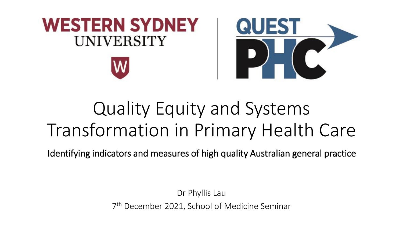

## Quality Equity and Systems Transformation in Primary Health Care

Identifying indicators and measures of high quality Australian general practice

Dr Phyllis Lau 7 th December 2021, School of Medicine Seminar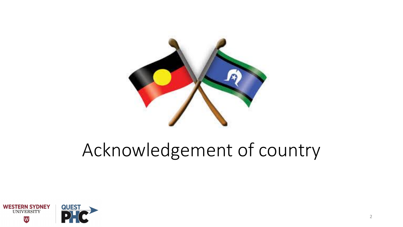

## Acknowledgement of country

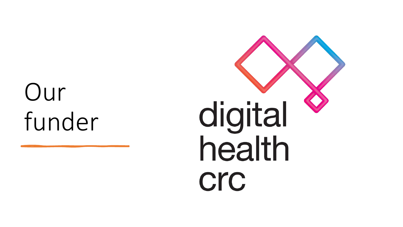# Our funder

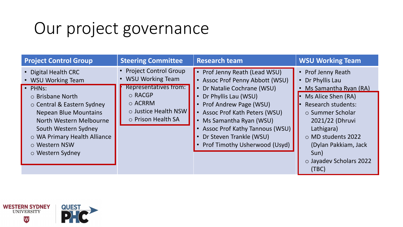## Our project governance

| <b>Project Control Group</b>                                                                                                                                                                                                                                    | <b>Steering Committee</b>                                                                                                                                  | <b>Research team</b>                                                                                                                                                                                                                                                                                                           | <b>WSU Working Team</b>                                                                                                                                                                                                                                               |
|-----------------------------------------------------------------------------------------------------------------------------------------------------------------------------------------------------------------------------------------------------------------|------------------------------------------------------------------------------------------------------------------------------------------------------------|--------------------------------------------------------------------------------------------------------------------------------------------------------------------------------------------------------------------------------------------------------------------------------------------------------------------------------|-----------------------------------------------------------------------------------------------------------------------------------------------------------------------------------------------------------------------------------------------------------------------|
| • Digital Health CRC<br>• WSU Working Team<br>· PHNs:<br>○ Brisbane North<br>○ Central & Eastern Sydney<br><b>Nepean Blue Mountains</b><br>North Western Melbourne<br>South Western Sydney<br>o WA Primary Health Alliance<br>○ Western NSW<br>o Western Sydney | <b>Project Control Group</b><br><b>WSU Working Team</b><br>Representatives from:<br>○ RACGP<br>$\circ$ ACRRM<br>○ Justice Health NSW<br>o Prison Health SA | Prof Jenny Reath (Lead WSU)<br><b>Assoc Prof Penny Abbott (WSU)</b><br>Dr Natalie Cochrane (WSU)<br>Dr Phyllis Lau (WSU)<br>Prof Andrew Page (WSU)<br><b>Assoc Prof Kath Peters (WSU)</b><br>Ms Samantha Ryan (WSU)<br>$\bullet$<br>Assoc Prof Kathy Tannous (WSU)<br>Dr Steven Trankle (WSU)<br>Prof Timothy Usherwood (Usyd) | • Prof Jenny Reath<br>• Dr Phyllis Lau<br>Ms Samantha Ryan (RA)<br>$\bullet$<br>Ms Alice Shen (RA)<br><b>Research students:</b><br>○ Summer Scholar<br>2021/22 (Dhruvi<br>Lathigara)<br>○ MD students 2022<br>(Dylan Pakkiam, Jack<br>Sun)<br>o Jayadev Scholars 2022 |

 $(10C)$ 

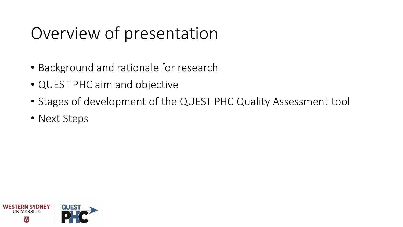## Overview of presentation

- Background and rationale for research
- QUEST PHC aim and objective
- Stages of development of the QUEST PHC Quality Assessment tool
- Next Steps

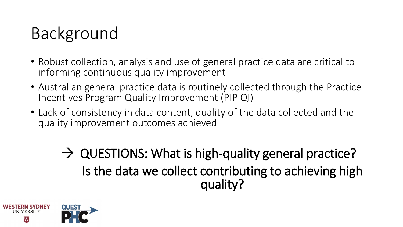## Background

- Robust collection, analysis and use of general practice data are critical to informing continuous quality improvement
- Australian general practice data is routinely collected through the Practice Incentives Program Quality Improvement (PIP QI)
- Lack of consistency in data content, quality of the data collected and the quality improvement outcomes achieved

 $\rightarrow$  QUESTIONS: What is high-quality general practice? Is the data we collect contributing to achieving high quality?

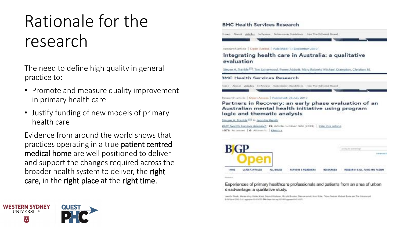## Rationale for the research

The need to define high quality in general practice to:

- Promote and measure quality improvement in primary health care
- Justify funding of new models of primary health care

Evidence from around the world shows that practices operating in a true patient centred medical home are well positioned to deliver and support the changes required across the broader health system to deliver, the right care, in the right place at the right time.

#### **BMC Health Services Research** torer About Adeley, inflower Submission Buildeboro, han The Editoral Board Research article | Open Access | Published: 11 December 2019 Integrating health care in Australia: a qualitative evaluation Steven A. Trankle C, Ten Usherwood, Benny Abbott, Mary Roberts, Michael Crampton, Christian M. **BMC Health Services Research** tome Airest Attiday, in Review, Subcriming Capitalism, Join The Editorial Research article | Open Access | Published: 26 AW 2019 Partners in Recovery: an early phase evaluation of an Australian mental health initiative using program logic and thematic analysis Steven A. Trankis <sup>(80</sup> & Jennifer Reath) BFFC Health Services Research 19. Article number: 524 (2019) | Cite this article 1572 Accesses | @ Altmetric | Metrics BG t Leading the automotive Arkansas **HUSEARCH CALL MACE AND** Experiences of primary healthcare professionals and patients from an area of urban disadvantage: a qualitative study.

Janviller Steelly, Mariea King, Webby Kreat, Dawie O'Helleren, Glorald Brosker, Diana Alexandi, Herri Erther, Thisse Gadoot, Histoasi Buske and The University BAGO Caran 2010, 3 (4) highways 603 6040 M. Didly Mera Text any VL Billiothian was \$1.00 (FAFE

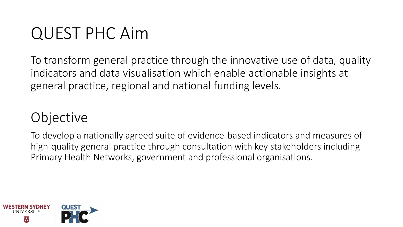## QUEST PHC Aim

To transform general practice through the innovative use of data, quality indicators and data visualisation which enable actionable insights at general practice, regional and national funding levels.

### **Objective**

To develop a nationally agreed suite of evidence-based indicators and measures of high-quality general practice through consultation with key stakeholders including Primary Health Networks, government and professional organisations.

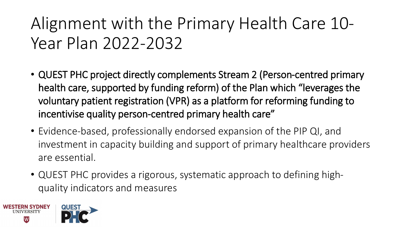## Alignment with the Primary Health Care 10- Year Plan 2022-2032

- QUEST PHC project directly complements Stream 2 (Person-centred primary health care, supported by funding reform) of the Plan which "leverages the voluntary patient registration (VPR) as a platform for reforming funding to incentivise quality person-centred primary health care"
- Evidence-based, professionally endorsed expansion of the PIP QI, and investment in capacity building and support of primary healthcare providers are essential.
- QUEST PHC provides a rigorous, systematic approach to defining highquality indicators and measures

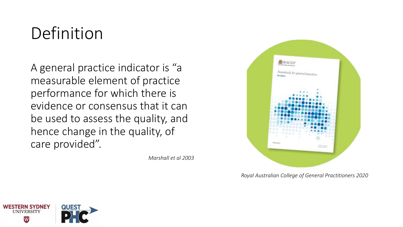## Definition

A general practice indicator is "a measurable element of practice performance for which there is evidence or consensus that it can be used to assess the quality, and hence change in the quality, of care provided".

*Marshall et al 2003*



*Royal Australian College of General Practitioners 2020*

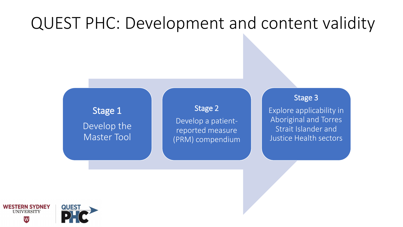## QUEST PHC: Development and content validity

Stage 1 Develop the Master Tool

Stage 2 Develop a patientreported measure (PRM) compendium

#### Stage 3

Explore applicability in Aboriginal and Torres Strait Islander and Justice Health sectors

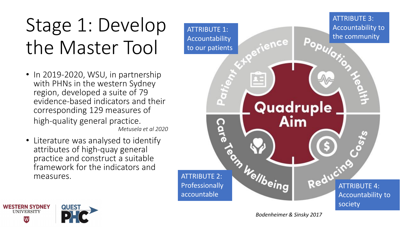# Stage 1: Develop the Master Tool

- In 2019-2020, WSU, in partnership with PHNs in the western Sydney region, developed a suite of 79 evidence-based indicators and their corresponding 129 measures of high-quality general practice. *Metusela et al 2020*
- Literature was analysed to identify attributes of high-quay general practice and construct a suitable framework for the indicators and measures.

**QUEST** 

**WESTERN SYDNEY** 

**UNIVERSITY** 



*Bodenheimer & Sinsky 2017*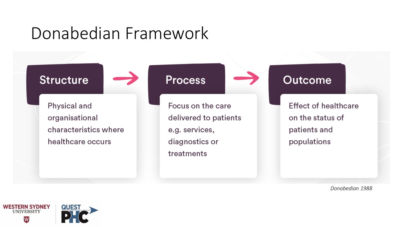## Donabedian Framework



Physical and organisational characteristics where healthcare occurs

**Process** 

Focus on the care delivered to patients e.g. services, diagnostics or treatments

### **Outcome**

**Effect of healthcare** on the status of patients and populations

*Donabedian 1988*

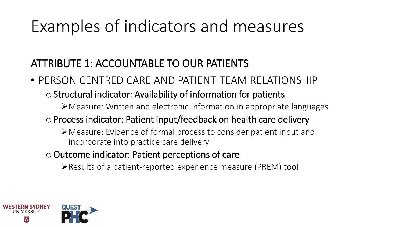## Examples of indicators and measures

### ATTRIBUTE 1: ACCOUNTABLE TO OUR PATIENTS

• PERSON CENTRED CARE AND PATIENT-TEAM RELATIONSHIP

### o Structural indicator: Availability of information for patients

- ➢Measure: Written and electronic information in appropriate languages
- oProcess indicator: Patient input/feedback on health care delivery
	- ➢Measure: Evidence of formal process to consider patient input and incorporate into practice care delivery
- $\circ$  Outcome indicator: Patient perceptions of care
	- ➢Results of a patient-reported experience measure (PREM) tool

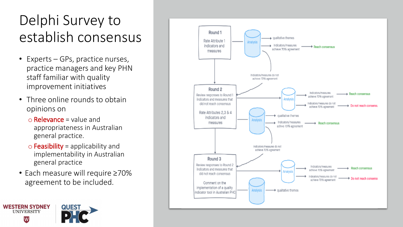## Delphi Survey to establish consensus

- Experts GPs, practice nurses, practice managers and key PHN staff familiar with quality improvement initiatives
- Three online rounds to obtain opinions on
	- $\circ$  Relevance = value and appropriateness in Australian general practice.
	- $\circ$  Feasibility = applicability and implementability in Australian general practice
- Each measure will require ≥70% agreement to be included.

**QUEST** 

**WESTERN SYDNEY** 

**UNIVERSITY** W

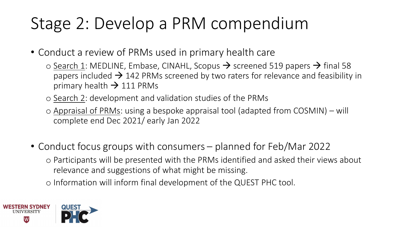## Stage 2: Develop a PRM compendium

• Conduct a review of PRMs used in primary health care

- $\circ$  Search 1: MEDLINE, Embase, CINAHL, Scopus  $\rightarrow$  screened 519 papers  $\rightarrow$  final 58 papers included  $\rightarrow$  142 PRMs screened by two raters for relevance and feasibility in primary health  $\rightarrow$  111 PRMs
- o Search 2: development and validation studies of the PRMs
- o Appraisal of PRMs: using a bespoke appraisal tool (adapted from COSMIN) will complete end Dec 2021/ early Jan 2022
- Conduct focus groups with consumers planned for Feb/Mar 2022 o Participants will be presented with the PRMs identified and asked their views about
	- relevance and suggestions of what might be missing.

o Information will inform final development of the QUEST PHC tool.

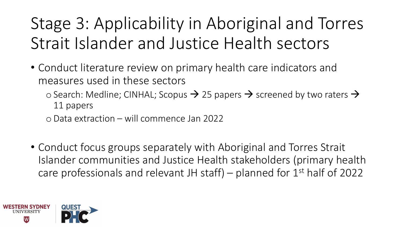## Stage 3: Applicability in Aboriginal and Torres Strait Islander and Justice Health sectors

- Conduct literature review on primary health care indicators and measures used in these sectors
	- $\circ$  Search: Medline; CINHAL; Scopus  $\rightarrow$  25 papers  $\rightarrow$  screened by two raters  $\rightarrow$ 11 papers
	- oData extraction will commence Jan 2022
- Conduct focus groups separately with Aboriginal and Torres Strait Islander communities and Justice Health stakeholders (primary health care professionals and relevant JH staff) – planned for  $1<sup>st</sup>$  half of 2022

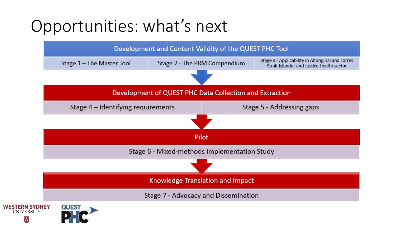## Opportunities: what's next